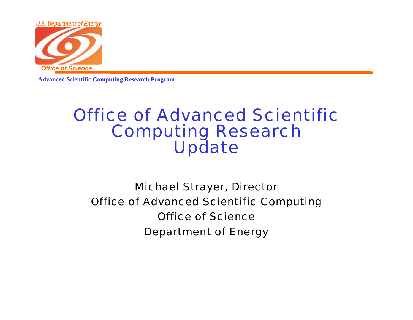

### Office of Advanced Scientific Computing Research Update

Michael Strayer, Director Office of Advanced Scientific Computing Office of ScienceDepartment of Energy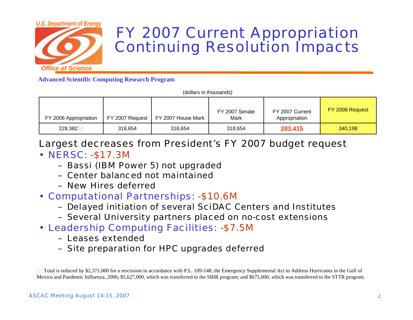

### FY 2007 Current Appropriation Continuing Resolution Impacts

**Advanced Scientific Computing Research Program**

|                       | (dollars in thousands)               |                        |                                  |
|-----------------------|--------------------------------------|------------------------|----------------------------------|
| FY 2006 Appropriation | FY 2007 Request   FY 2007 House Mark | FY 2007 Senate<br>Mark | FY 2007 Current<br>Appropriation |

| 228,382                                                   | 318.654 | 318.654 | 318.654 | 283.415 | 340,198 |  |
|-----------------------------------------------------------|---------|---------|---------|---------|---------|--|
| Largest decreases from President's FY 2007 budget request |         |         |         |         |         |  |

- NERSC: -\$17.3M
	- Bassi (IBM Power 5) not upgraded
	- Center balanced not maintained
	- New Hires deferred
- Computational Partnerships: -\$10.6M
	- Delayed initiation of several SciDAC Centers and Institutes
	- Several University partners placed on no-cost extensions
- Leadership Computing Facilities: -\$7.5M
	- Leases extended
	- Site preparation for HPC upgrades deferred

[a] Total is reduced by \$2,371,000 for a rescission in accordance with P.L. 109-148, the Emergency Supplemental Act to Address Hurricanes in the Gulf of Mexico and Pandemic Influenza, 2006; \$5,627,000, which was transferred to the SBIR program; and \$675,000, which was transferred to the STTR program.

FY 2008 Request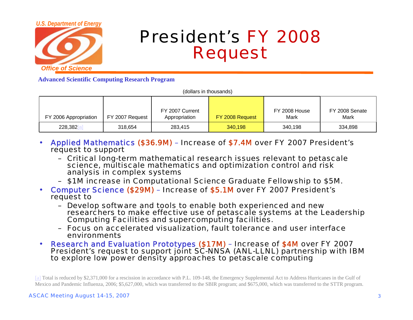

## President's FY 2008 Request

|  |  | (dollars in thousands) |
|--|--|------------------------|
|--|--|------------------------|

| FY 2006 Appropriation | FY 2007 Request | FY 2007 Current<br>Appropriation | FY 2008 Request | FY 2008 House<br>Mark | FY 2008 Senate<br>Mark |
|-----------------------|-----------------|----------------------------------|-----------------|-----------------------|------------------------|
| 228,382               | 318,654         | 283.415                          | 340,198         | 340,198               | 334,898                |

- • Applied Mathematics (\$36.9M) – Increase of \$7.4M over FY 2007 President's request to support
	- Critical long-term mathematical research issues relevant to petascale science, multiscale mathematics and optimization control and risk analysis in complex systems
	- \$1M increase in Computational Science Graduate Fellowship to \$5M.
- Computer Science (\$29M) Increase of \$5.1M over FY 2007 President's request to
	- Develop software and tools to enable both experienced and new researchers to make effective use of petascale systems at the Leadership Computing Facilities and supercomputing facilities.
	- Focus on accelerated visualization, fault tolerance and user interface environments
- •Research and Evaluation Prototypes (\$17M) – Increase of \$4M over FY 2007<br>President's request to support joint SC-NNSA (ANL-LLNL) partnership with IBM to explore low power density approaches to petascale computing

<sup>[</sup>a] Total is reduced by \$2,371,000 for a rescission in accordance with P.L. 109-148, the Emergency Supplemental Act to Address Hurricanes in the Gulf of Mexico and Pandemic Influenza, 2006; \$5,627,000, which was transferred to the SBIR program; and \$675,000, which was transferred to the STTR program.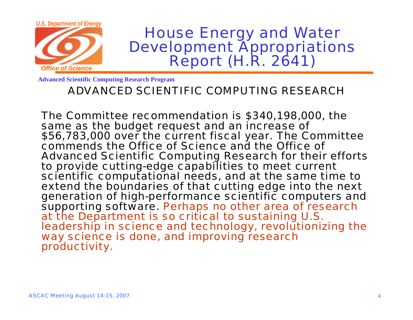

### ADVANCED SCIENTIFIC COMPUTING RESEARCH

The Committee recommendation is \$340,198,000, the \$56,783,000 over the current fiscal year. The Committee commends the Office of Science and the Office of Advanced Scientific Computing Research for their efforts to provide cutting-edge capabilities to meet current scientific computational needs, and at the same time to extend the boundaries of that cutting edge into the next generation of high-performance scientific computers and supporting software. Perhaps no other area of research at the Department is so critical to sustaining U.S. leadership in science and technology, revolutionizing the way science is done, and improving research productivity.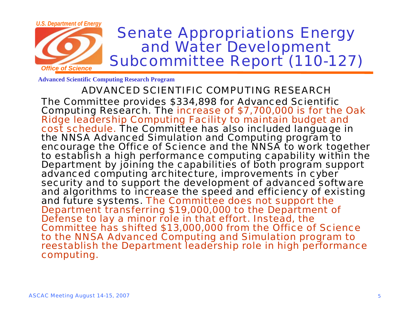

ADVANCED SCIENTIFIC COMPUTING RESEARCHThe Committee provides \$334,898 for Advanced Scientific Computing Research. The increase of \$7,700,000 is for the Oak Ridge leadership Computing Facility to maintain budget and cost schedule. The Committee has also included language in the NNSA Advanced Simulation and Computing program to encourage the Office of Science and the NNSA to work together to establish a high performance computing capability within the Department by joining the capabilities of both program support advanced computing architecture, improvements in cyber security and to support the development of advanced software and algorithms to increase the speed and efficiency of existing<br>and future systems. The Committee does not support the Department transferring \$19,000,000 to the Department of<br>Defense to lay a minor role in that effort. Instead, the Committee has shifted \$13,000,000 from the Office of Science to the NNSA Advanced Computing and Simulation program to reestablish the Department leadership role in high performance computing.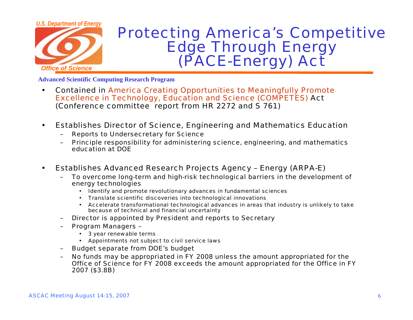

## Protecting America's Competitive **Edge Through Energy<br>(PACE-Energy) Act**

- • Contained in America Creating Opportunities to Meaningfully Promote Excellence in Technology, Education and Science (COMPETES) Act (Conference committee report from HR 2272 and S 761)
- $\bullet$  Establishes Director of Science, Engineering and Mathematics Education
	- Reports to Undersecretary for Science
	- Principle responsibility for administering science, engineering, and mathematics education at DOE
- $\bullet$  Establishes Advanced Research Projects Agency – Energy (ARPA-E)
	- To overcome long-term and high-risk technological barriers in the development of energy technologies
		- Identify and promote revolutionary advances in fundamental sciences
		- Translate scientific discoveries into technological innovations
		- Accelerate transformational technological advances in areas that industry is unlikely to take because of technical and financial uncertainty
	- Director is appointed by President and reports to Secretary
	- Program Managers
		- 3 year renewable terms
		- Appointments not subject to civil service laws
	- Budget separate from DOE's budget
	- No funds may be appropriated in FY 2008 unless the amount appropriated for the Office of Science for FY 2008 exceeds the amount appropriated for the Office in FY 2007 (\$3.8B)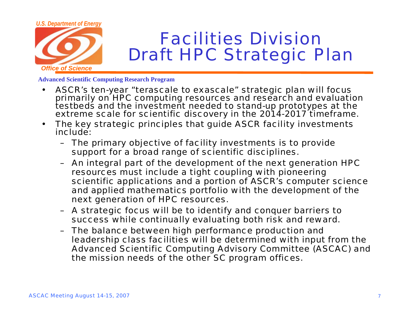

- • ASCR's ten-year "terascale to exascale" strategic plan will focus primarily on HPC computing resources and research and evaluation testbeds and the investment needed to stand-up prototypes at the extreme scale for scientific discovery in the 2014-2017 timeframe.
- • The key strategic principles that guide ASCR facility investments include:
	- The primary objective of facility investments is to provide support for a broad range of scientific disciplines.
	- An integral part of the development of the next generation HPC resources must include a tight coupling with pioneering scientific applications and a portion of ASCR's computer science and applied mathematics portfolio with the development of the next generation of HPC resources.
	- A strategic focus will be to identify and conquer barriers to success while continually evaluating both risk and reward.
	- The balance between high performance production and leadership class facilities will be determined with input from the Advanced Scientific Computing Advisory Committee (ASCAC) and the mission needs of the other SC program offices.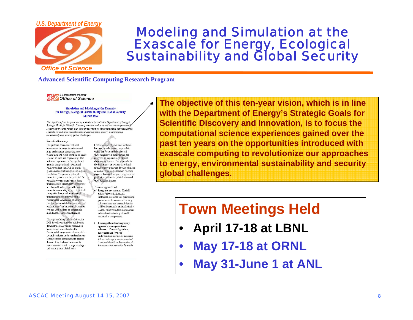#### *U.S. Department of Energy*



# Modeling and Simulation at the Exascale for Energy, Ecological Sustainability and Global Security

### **Advanced Scientific Computing Research Program**



#### Simulation and Modeling at the Exascale for Energy, Ecological Sustainability and Global Security An Initiative

The objective of this ten-year vision, which is in line with the Department of Energy's Strategic Goals for Scientific Discovery and Innovation, is to focus the computational science experiences gained over the past tenyears on the opportunities introduced with exascale computing to revolutionize our approaches to energy, environmental sustainability and security global challenges.

#### **Executive Summary**

The past two decades of national investments in computer science and high-performance computing have placed the DOE at the forefront of many areas of science and engineering. This initiative capitalizes on the significant gains in computational science and boldly positions the DOE to attack global challenges through modeling and simulation. The planned petascale computer systems and the potential for exascale systems shortly provide an unprecedented opportunity for science: one that will make it possible to use computation not only as an critical tool along with theory and experiment in understanding the behavior of the fundamental components of nature but also for fundamental discovery and exploration of the behavior of complex systems with billions of components including those involving humans.

Through modeling and simulation, the DOE is well-positioned to build on its demonstrated and widely-recognized leadership in understanding the fundamental components of nature to be a world-leader in understanding how to assemble these components to address the scientific, technical and societal issues associated with energy, ecology and security on a global scale.

For these types of problems, the timehonored, or subsystems, approach in which the forces and the physical environments of a phenomenon are analyzed, is approaching a state of diminishing returns. The approach for the future must be systems based and simulation programs are developed in the context of encoding all known relevant physical laws with engineering practices, production utilization distribution and environmental factors.

- This new approach will  $\bullet$  Integrate, not reduce. The full suite of physical, chemical, biological, chemical and engineering processes in the context of existing infrastructures and human behavior will be dynamically and realistically linked, rather than focusing on more detailed understanding of smaller and smaller components.
- Leverage the interdisciplinary approach to computational sciences. Current algorithms, approaches and levels of understanding may not be a dequate. A key challenge in development of these models will be the creation of a framework and semantics for model

**The objective of this ten-year vision, which is in line with the Department of Energy's Strategic Goals for Scientific Discovery and Innovation, is to focus the computational science experiences gained over the past ten years on the opportunities introduced with exascale computing to revolutionize our approaches to energy, environmental sustainability and security global challenges.**

### **Town Meetings Held**

- •**April 17-18 at LBNL**
- •**May 17-18 at ORNL**
- •**May 31-June 1 at ANL**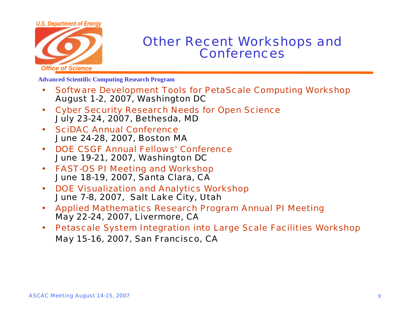## *U.S. Department of Energy Office of Science*

### Other Recent Workshops and Conferences

- • Software Development Tools for PetaScale Computing Workshop August 1-2, 2007, Washington DC
- • Cyber Security Research Needs for Open Science July 23-24, 2007, Bethesda, MD
- • SciDAC Annual ConferenceJune 24-28, 2007, Boston MA
- • DOE CSGF Annual Fellows' ConferenceJune 19-21, 2007, Washington DC
- • FAST-OS PI Meeting and Workshop June 18-19, 2007, Santa Clara, CA
- • DOE Visualization and Analytics Workshop June 7-8, 2007, Salt Lake City, Utah
- • Applied Mathematics Research Program Annual PI Meeting May 22-24, 2007, Livermore, CA
- • Petascale System Integration into Large Scale Facilities Workshop May 15-16, 2007, San Francisco, CA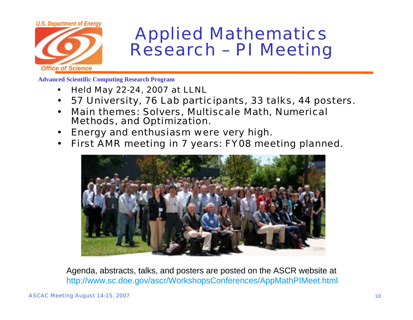

## Applied Mathematics Research – PI Meeting

**Advanced Scientific Computing Research Program**

- $\bullet$ Held May 22-24, 2007 at LLNL
- $\bullet$ 57 University, 76 Lab participants, 33 talks, 44 posters.
- $\bullet$  Main themes: Solvers, Multiscale Math, Numerical Methods, and Optimization.
- $\bullet$ Energy and enthusiasm were very high.
- $\bullet$ First AMR meeting in 7 years: FY08 meeting planned.



Agenda, abstracts, talks, and posters are posted on the ASCR website at http://www.sc.doe.gov/ascr/WorkshopsConferences/AppMathPIMeet.html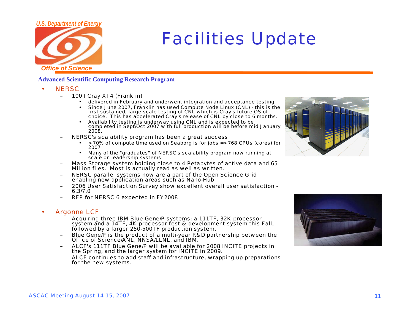## *U.S. Department of Energy Office of Science*

## Facilities Update

### **Advanced Scientific Computing Research Program**

- •**NERSC** 
	- 100+ Cray XT4 (Franklin)
		- •delivered in February and underwent integration and acceptance testing.
		- • Since June 2007, Franklin has used Compute Node Linux (CNL) - this is the first sustained, large scale testing of CNL which is Cray's future OS of choice. This has accelerated Cray's release of CNL by close to 6 months.
		- • Availability testing is underway using CNL and is expected to be completed in Sept/Oct 2007 with full production will be before mid January 2008.
	- NERSC's scalability program has been a great success
		- > 70% of compute time used on Seaborg is for jobs => 768 CPUs (cores) for 2007
		- • Many of the "graduates" of NERSC's scalability program now running at scale on leadership systems
	- Mass Storage system holding close to 4 Petabytes of active data and 65 Million files. Most is actually read as well as written.
	- NERSC parallel systems now are a part of the Open Science Grid enabling new application areas such as Nano-Hub
	- 2006 User Satisfaction Survey show excellent overall user satisfaction 6.3/7.0
	- RFP for NERSC 6 expected in FY2008

#### •Argonne LCF

- Acquiring three IBM Blue Gene/P systems: a 111TF, 32K processor system and a 14TF, 4K processor test & development system this Fall, followed by a larger 250-500TF production system.
- Blue Gene/P is the product of a multi-year R&D partnership between the Office of Science/ANL, NNSA/LLNL, and IBM.
- ALCF's 111TF Blue Gene/P will be available for 2008 INCITE projects in the Spring, and the larger system for INCITE in 2009.
- ALCF continues to add staff and infrastructure, wrapping up preparations for the new systems.



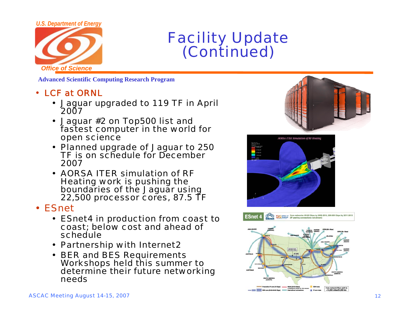

## Facility Update (Continued)

**Advanced Scientific Computing Research Program**

### • LCF at ORNL

- Jaguar upgraded to 119 TF in April 2007
- Jaguar #2 on Top500 list and fastest computer in the world for open science
- Planned upgrade of Jaguar to 250 TF is on schedule for December 2007
- AORSA ITER simulation of RF Heating work is pushing the boundaries of the Jaguar using 22,500 processor cores, 87.5 TF

#### $\bullet$ **ESnet**

- ESnet4 in production from coast to coast; below cost and ahead of schedule
- Partnership with Internet2
- BER and BES Requirements Workshops held this summer to determine their future networking needs





Office of Core networks: 50-60 Gbps by 2009-2010, 200-600 Gbps by 2011-2012 ക്ക ESnet 4

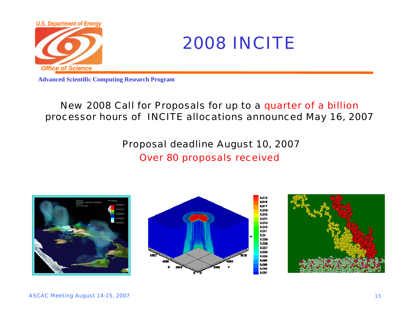



### New 2008 Call for Proposals for up to a quarter of a billion processor hours of INCITE allocations announced May 16, 2007

Proposal deadline August 10, 2007

Over 80 proposals received





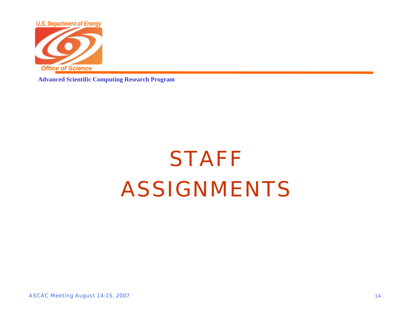

## **STAFF** ASSIGNMENTS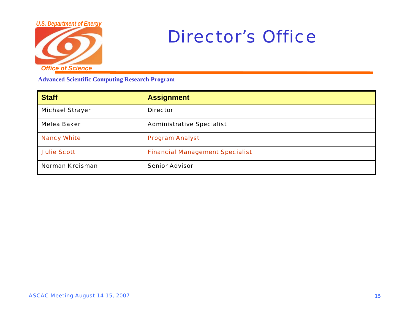

## Director's Office

| <b>Staff</b>           | <b>Assignment</b>                      |
|------------------------|----------------------------------------|
| <b>Michael Strayer</b> | <b>Director</b>                        |
| Melea Baker            | <b>Administrative Specialist</b>       |
| <b>Nancy White</b>     | <b>Program Analyst</b>                 |
| <b>Julie Scott</b>     | <b>Financial Management Specialist</b> |
| <b>Norman Kreisman</b> | <b>Senior Advisor</b>                  |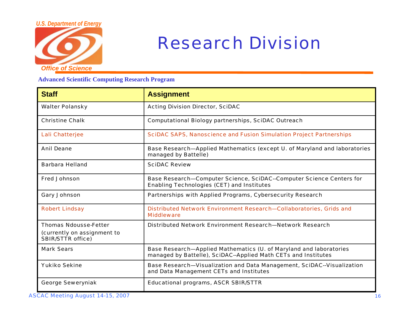

## Research Division

| <b>Staff</b>                                                                            | <b>Assignment</b>                                                                                                                    |
|-----------------------------------------------------------------------------------------|--------------------------------------------------------------------------------------------------------------------------------------|
| <b>Walter Polansky</b>                                                                  | <b>Acting Division Director, SciDAC</b>                                                                                              |
| <b>Christine Chalk</b>                                                                  | <b>Computational Biology partnerships, SciDAC Outreach</b>                                                                           |
| <b>Lali Chatterjee</b>                                                                  | <b>SciDAC SAPS, Nanoscience and Fusion Simulation Project Partnerships</b>                                                           |
| <b>Anil Deane</b>                                                                       | Base Research-Applied Mathematics (except U. of Maryland and laboratories<br>managed by Battelle)                                    |
| <b>Barbara Helland</b>                                                                  | <b>SciDAC Review</b>                                                                                                                 |
| <b>Fred Johnson</b>                                                                     | Base Research-Computer Science, SciDAC--Computer Science Centers for<br><b>Enabling Technologies (CET) and Institutes</b>            |
| <b>Gary Johnson</b>                                                                     | Partnerships with Applied Programs, Cybersecurity Research                                                                           |
| <b>Robert Lindsay</b>                                                                   | Distributed Network Environment Research-Collaboratories, Grids and<br><b>Middleware</b>                                             |
| <b>Thomas Ndousse-Fetter</b><br>(currently on assignment to<br><b>SBIR/STTR office)</b> | Distributed Network Environment Research-Network Research                                                                            |
| <b>Mark Sears</b>                                                                       | Base Research-Applied Mathematics (U. of Maryland and laboratories<br>managed by Battelle), SciDAC--Applied Math CETs and Institutes |
| <b>Yukiko Sekine</b>                                                                    | Base Research-Visualization and Data Management, SciDAC--Visualization<br>and Data Management CETs and Institutes                    |
| <b>George Seweryniak</b>                                                                | <b>Educational programs, ASCR SBIR/STTR</b>                                                                                          |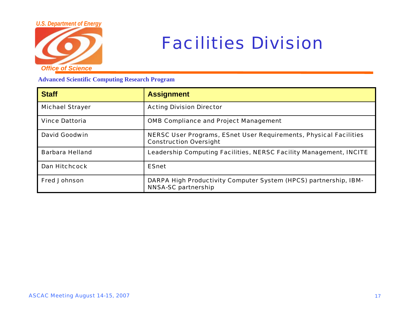

## Facilities Division

| <b>Staff</b>           | <b>Assignment</b>                                                                                  |
|------------------------|----------------------------------------------------------------------------------------------------|
| <b>Michael Strayer</b> | <b>Acting Division Director</b>                                                                    |
| <b>Vince Dattoria</b>  | <b>OMB Compliance and Project Management</b>                                                       |
| David Goodwin          | NERSC User Programs, ESnet User Requirements, Physical Facilities<br><b>Construction Oversight</b> |
| <b>Barbara Helland</b> | Leadership Computing Facilities, NERSC Facility Management, INCITE                                 |
| <b>Dan Hitchcock</b>   | <b>ESnet</b>                                                                                       |
| <b>Fred Johnson</b>    | DARPA High Productivity Computer System (HPCS) partnership, IBM-<br><b>NNSA-SC partnership</b>     |